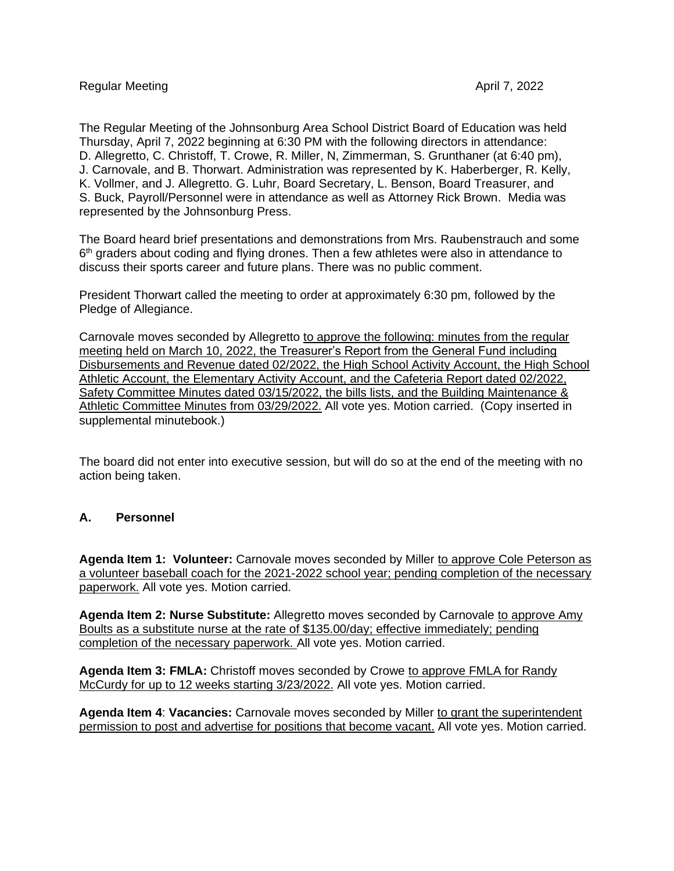The Regular Meeting of the Johnsonburg Area School District Board of Education was held Thursday, April 7, 2022 beginning at 6:30 PM with the following directors in attendance: D. Allegretto, C. Christoff, T. Crowe, R. Miller, N, Zimmerman, S. Grunthaner (at 6:40 pm), J. Carnovale, and B. Thorwart. Administration was represented by K. Haberberger, R. Kelly, K. Vollmer, and J. Allegretto. G. Luhr, Board Secretary, L. Benson, Board Treasurer, and S. Buck, Payroll/Personnel were in attendance as well as Attorney Rick Brown. Media was represented by the Johnsonburg Press.

The Board heard brief presentations and demonstrations from Mrs. Raubenstrauch and some 6<sup>th</sup> graders about coding and flying drones. Then a few athletes were also in attendance to discuss their sports career and future plans. There was no public comment.

President Thorwart called the meeting to order at approximately 6:30 pm, followed by the Pledge of Allegiance.

Carnovale moves seconded by Allegretto to approve the following: minutes from the regular meeting held on March 10, 2022, the Treasurer's Report from the General Fund including Disbursements and Revenue dated 02/2022, the High School Activity Account, the High School Athletic Account, the Elementary Activity Account, and the Cafeteria Report dated 02/2022, Safety Committee Minutes dated 03/15/2022, the bills lists, and the Building Maintenance & Athletic Committee Minutes from 03/29/2022. All vote yes. Motion carried. (Copy inserted in supplemental minutebook.)

The board did not enter into executive session, but will do so at the end of the meeting with no action being taken.

# **A. Personnel**

**Agenda Item 1: Volunteer:** Carnovale moves seconded by Miller to approve Cole Peterson as a volunteer baseball coach for the 2021-2022 school year; pending completion of the necessary paperwork. All vote yes. Motion carried.

**Agenda Item 2: Nurse Substitute:** Allegretto moves seconded by Carnovale to approve Amy Boults as a substitute nurse at the rate of \$135.00/day; effective immediately; pending completion of the necessary paperwork. All vote yes. Motion carried.

**Agenda Item 3: FMLA:** Christoff moves seconded by Crowe to approve FMLA for Randy McCurdy for up to 12 weeks starting 3/23/2022. All vote yes. Motion carried.

**Agenda Item 4: Vacancies: Carnovale moves seconded by Miller to grant the superintendent** permission to post and advertise for positions that become vacant. All vote yes. Motion carried.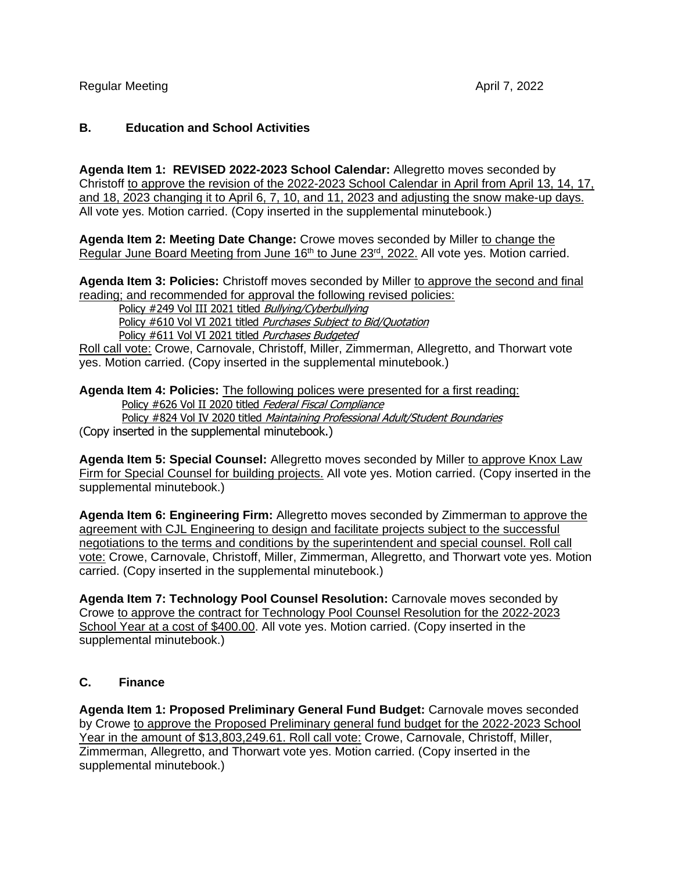# **B. Education and School Activities**

**Agenda Item 1: REVISED 2022-2023 School Calendar:** Allegretto moves seconded by Christoff to approve the revision of the 2022-2023 School Calendar in April from April 13, 14, 17, and 18, 2023 changing it to April 6, 7, 10, and 11, 2023 and adjusting the snow make-up days. All vote yes. Motion carried. (Copy inserted in the supplemental minutebook.)

**Agenda Item 2: Meeting Date Change:** Crowe moves seconded by Miller to change the Regular June Board Meeting from June 16<sup>th</sup> to June 23<sup>rd</sup>, 2022. All vote yes. Motion carried.

Agenda Item 3: Policies: Christoff moves seconded by Miller to approve the second and final reading; and recommended for approval the following revised policies:

Policy #249 Vol III 2021 titled Bullying/Cyberbullying Policy #610 Vol VI 2021 titled Purchases Subject to Bid/Ouotation Policy #611 Vol VI 2021 titled Purchases Budgeted

Roll call vote: Crowe, Carnovale, Christoff, Miller, Zimmerman, Allegretto, and Thorwart vote yes. Motion carried. (Copy inserted in the supplemental minutebook.)

**Agenda Item 4: Policies:** The following polices were presented for a first reading: Policy #626 Vol II 2020 titled Federal Fiscal Compliance Policy #824 Vol IV 2020 titled Maintaining Professional Adult/Student Boundaries (Copy inserted in the supplemental minutebook.)

Agenda Item 5: Special Counsel: Allegretto moves seconded by Miller to approve Knox Law Firm for Special Counsel for building projects. All vote yes. Motion carried. (Copy inserted in the supplemental minutebook.)

**Agenda Item 6: Engineering Firm:** Allegretto moves seconded by Zimmerman to approve the agreement with CJL Engineering to design and facilitate projects subject to the successful negotiations to the terms and conditions by the superintendent and special counsel. Roll call vote: Crowe, Carnovale, Christoff, Miller, Zimmerman, Allegretto, and Thorwart vote yes. Motion carried. (Copy inserted in the supplemental minutebook.)

**Agenda Item 7: Technology Pool Counsel Resolution:** Carnovale moves seconded by Crowe to approve the contract for Technology Pool Counsel Resolution for the 2022-2023 School Year at a cost of \$400.00. All vote yes. Motion carried. (Copy inserted in the supplemental minutebook.)

# **C. Finance**

**Agenda Item 1: Proposed Preliminary General Fund Budget:** Carnovale moves seconded by Crowe to approve the Proposed Preliminary general fund budget for the 2022-2023 School Year in the amount of \$13,803,249.61. Roll call vote: Crowe, Carnovale, Christoff, Miller, Zimmerman, Allegretto, and Thorwart vote yes. Motion carried. (Copy inserted in the supplemental minutebook.)